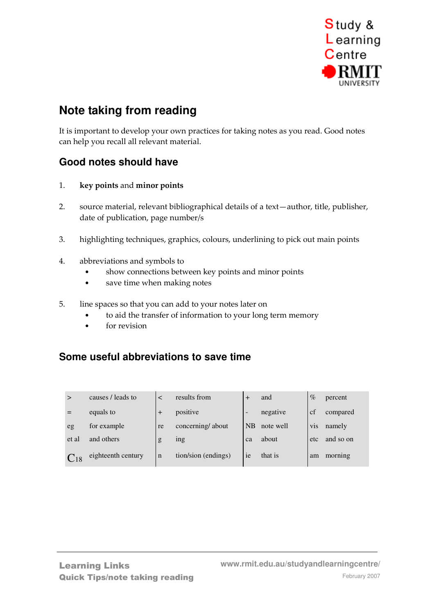

# **Note taking from reading**

It is important to develop your own practices for taking notes as you read. Good notes can help you recall all relevant material.

### **Good notes should have**

- 1. key points and minor points
- 2. source material, relevant bibliographical details of a text—author, title, publisher, date of publication, page number/s
- 3. highlighting techniques, graphics, colours, underlining to pick out main points
- 4. abbreviations and symbols to
	- show connections between key points and minor points
	- save time when making notes
- 5. line spaces so that you can add to your notes later on
	- to aid the transfer of information to your long term memory
	- for revision

### **Some useful abbreviations to save time**

| >               | causes / leads to  |             | results from        |                          | and       | $\%$ | percent   |
|-----------------|--------------------|-------------|---------------------|--------------------------|-----------|------|-----------|
|                 | equals to          | $+$         | positive            | $\overline{\phantom{a}}$ | negative  | cf   | compared  |
| eg              | for example        | re          | concerning/about    | <b>NB</b>                | note well | vis  | namely    |
| et al           | and others         | g           | <sub>1</sub> ng     | ca                       | about     | etc  | and so on |
| C <sub>18</sub> | eighteenth century | $\mathbf n$ | tion/sion (endings) | ie                       | that is   | am   | morning   |